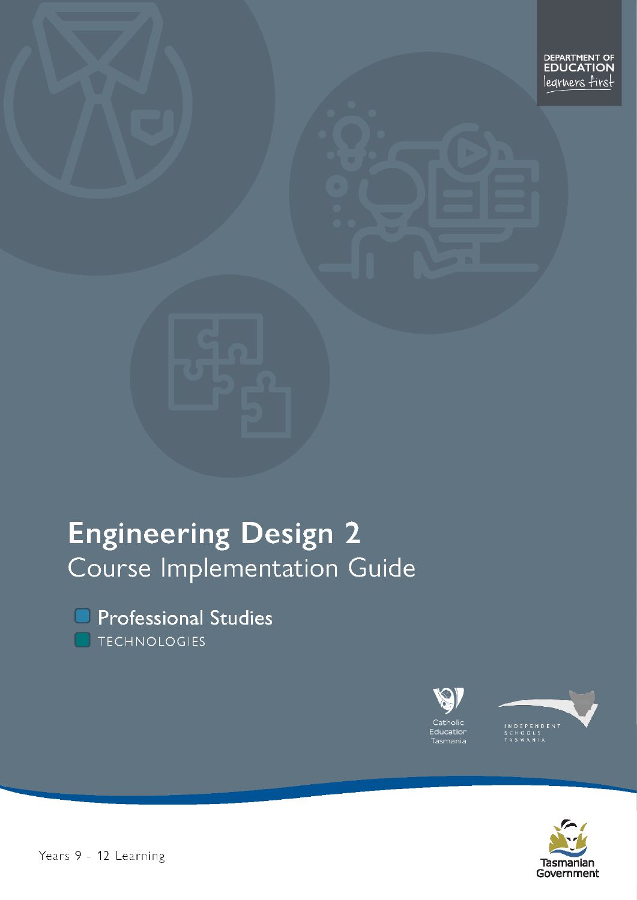# **Engineering Design 2** Course Implementation Guide

**O** Professional Studies TECHNOLOGIES







Years 9 - 12 Learning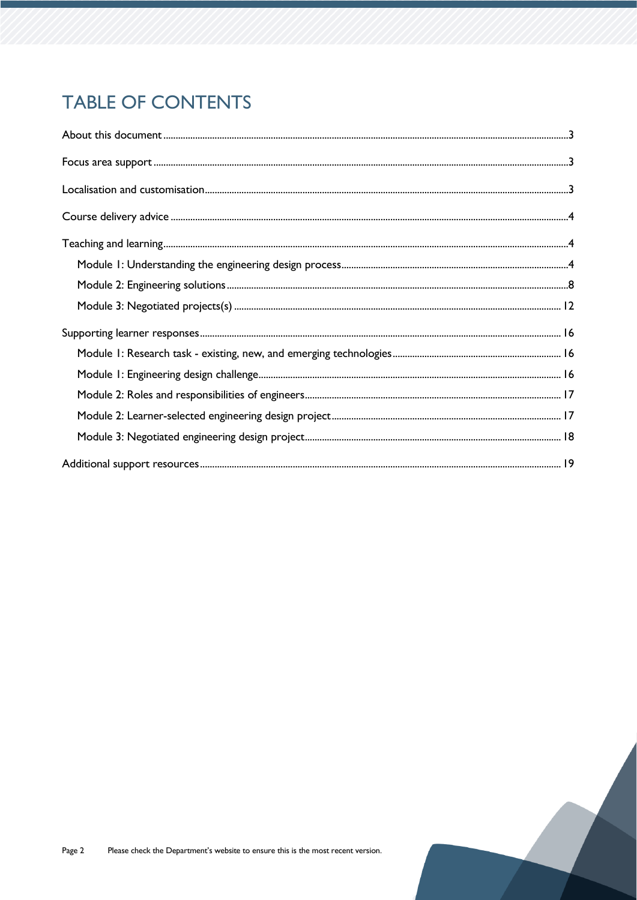## **TABLE OF CONTENTS**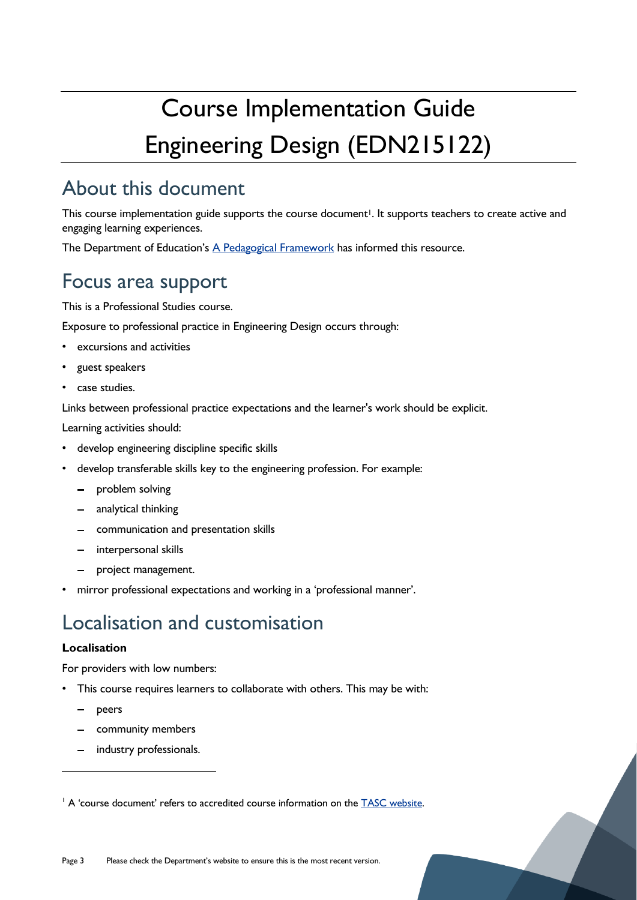# Course Implementation Guide Engineering Design (EDN215122)

## <span id="page-2-0"></span>About this document

This course implementation guide supports the course document<sup>1</sup>. It supports teachers to create active and engaging learning experiences.

The Department of Education's [A Pedagogical Framework](https://documentcentre.education.tas.gov.au/_layouts/15/DocIdRedir.aspx?ID=TASED-1629159896-383) has informed this resource.

## <span id="page-2-1"></span>Focus area support

This is a Professional Studies course.

Exposure to professional practice in Engineering Design occurs through:

- excursions and activities
- guest speakers
- case studies.

Links between professional practice expectations and the learner's work should be explicit.

Learning activities should:

- develop engineering discipline specific skills
- develop transferable skills key to the engineering profession. For example:
	- $\frac{1}{2}$ problem solving
	- analytical thinking
	- communication and presentation skills
	- interpersonal skills
	- project management.
- mirror professional expectations and working in a 'professional manner'.

## <span id="page-2-2"></span>Localisation and customisation

#### **Localisation**

For providers with low numbers:

- This course requires learners to collaborate with others. This may be with:
	- peers
	- community members
	- industry professionals.

<sup>&</sup>lt;sup>1</sup> A 'course document' refers to accredited course information on the [TASC website.](https://www.tasc.tas.gov.au/students/courses/technologies/edn215122/)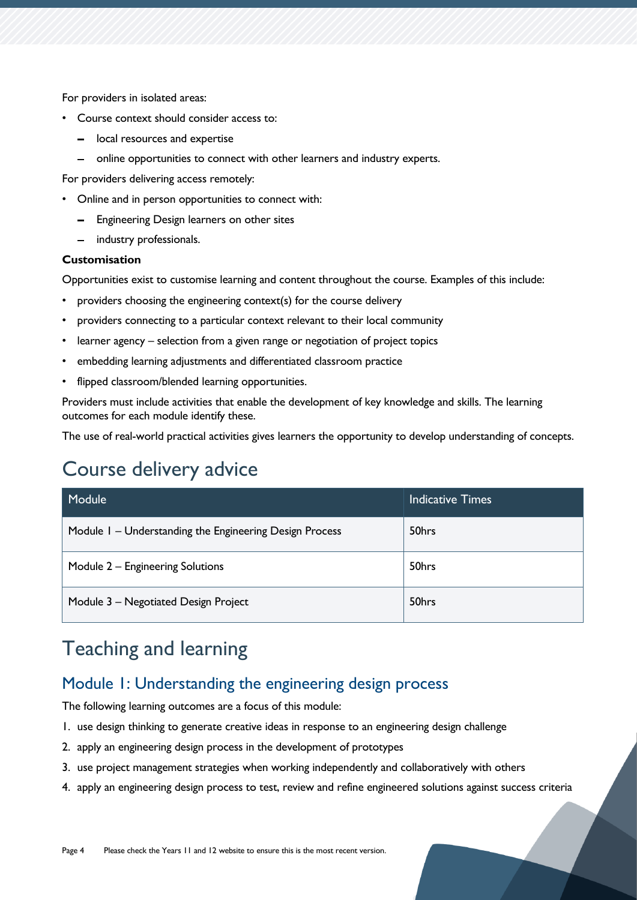For providers in isolated areas:

- Course context should consider access to:
	- local resources and expertise
	- online opportunities to connect with other learners and industry experts.

For providers delivering access remotely:

- Online and in person opportunities to connect with:
	- Engineering Design learners on other sites
	- industry professionals.

#### **Customisation**

Opportunities exist to customise learning and content throughout the course. Examples of this include:

- providers choosing the engineering context(s) for the course delivery
- providers connecting to a particular context relevant to their local community
- learner agency selection from a given range or negotiation of project topics
- embedding learning adjustments and differentiated classroom practice
- flipped classroom/blended learning opportunities.

Providers must include activities that enable the development of key knowledge and skills. The learning outcomes for each module identify these.

The use of real-world practical activities gives learners the opportunity to develop understanding of concepts.

## <span id="page-3-0"></span>Course delivery advice

| Module                                                  | <b>Indicative Times</b> |
|---------------------------------------------------------|-------------------------|
| Module 1 – Understanding the Engineering Design Process | 50hrs                   |
| Module 2 - Engineering Solutions                        | 50hrs                   |
| Module 3 - Negotiated Design Project                    | 50hrs                   |

## <span id="page-3-1"></span>Teaching and learning

### <span id="page-3-2"></span>Module 1: Understanding the engineering design process

The following learning outcomes are a focus of this module:

- 1. use design thinking to generate creative ideas in response to an engineering design challenge
- 2. apply an engineering design process in the development of prototypes
- 3. use project management strategies when working independently and collaboratively with others
- 4. apply an engineering design process to test, review and refine engineered solutions against success criteria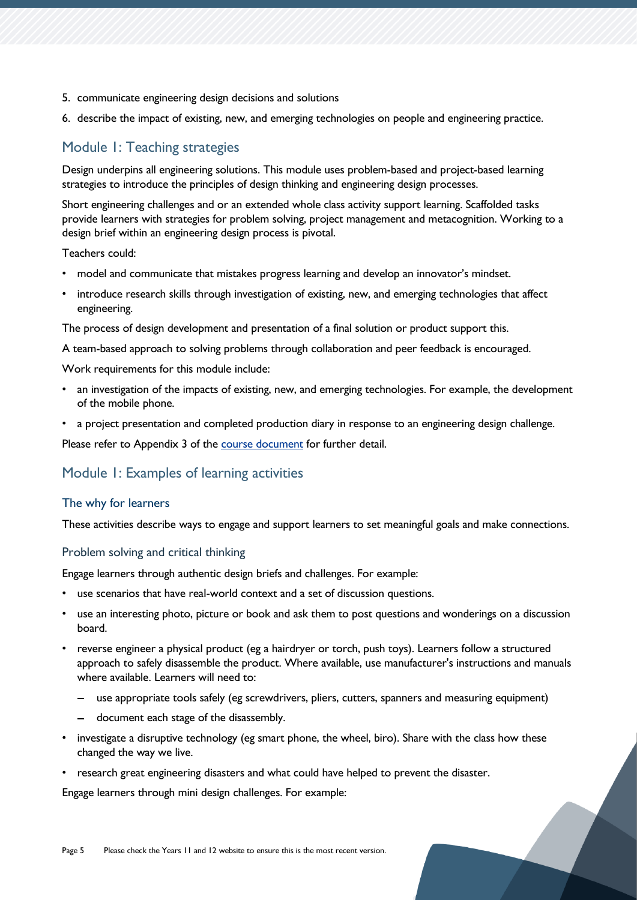- 5. communicate engineering design decisions and solutions
- 6. describe the impact of existing, new, and emerging technologies on people and engineering practice.

### Module 1: Teaching strategies

Design underpins all engineering solutions. This module uses problem-based and project-based learning strategies to introduce the principles of design thinking and engineering design processes.

Short engineering challenges and or an extended whole class activity support learning. Scaffolded tasks provide learners with strategies for problem solving, project management and metacognition. Working to a design brief within an engineering design process is pivotal.

Teachers could:

- model and communicate that mistakes progress learning and develop an innovator's mindset.
- introduce research skills through investigation of existing, new, and emerging technologies that affect engineering.

The process of design development and presentation of a final solution or product support this.

A team-based approach to solving problems through collaboration and peer feedback is encouraged.

Work requirements for this module include:

- an investigation of the impacts of existing, new, and emerging technologies. For example, the development of the mobile phone.
- a project presentation and completed production diary in response to an engineering design challenge.

Please refer to Appendix 3 of the [course document](https://www.tasc.tas.gov.au/students/courses/technologies/edn215122/) for further detail.

#### Module 1: Examples of learning activities

#### The why for learners

These activities describe ways to engage and support learners to set meaningful goals and make connections.

#### Problem solving and critical thinking

Engage learners through authentic design briefs and challenges. For example:

- use scenarios that have real-world context and a set of discussion questions.
- use an interesting photo, picture or book and ask them to post questions and wonderings on a discussion board.
- reverse engineer a physical product (eg a hairdryer or torch, push toys). Learners follow a structured approach to safely disassemble the product. Where available, use manufacturer's instructions and manuals where available. Learners will need to:
	- use appropriate tools safely (eg screwdrivers, pliers, cutters, spanners and measuring equipment)
	- document each stage of the disassembly.
- investigate a disruptive technology (eg smart phone, the wheel, biro). Share with the class how these changed the way we live.
- research great engineering disasters and what could have helped to prevent the disaster.

Engage learners through mini design challenges. For example: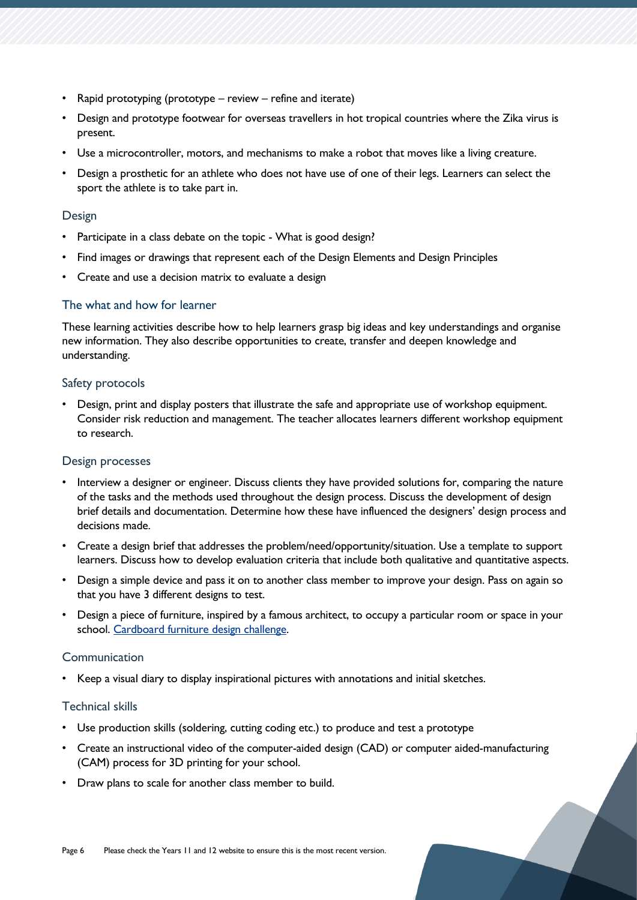- Rapid prototyping (prototype review refine and iterate)
- Design and prototype footwear for overseas travellers in hot tropical countries where the Zika virus is present.
- Use a microcontroller, motors, and mechanisms to make a robot that moves like a living creature.
- Design a prosthetic for an athlete who does not have use of one of their legs. Learners can select the sport the athlete is to take part in.

#### Design

- Participate in a class debate on the topic What is good design?
- Find images or drawings that represent each of the Design Elements and Design Principles
- Create and use a decision matrix to evaluate a design

#### The what and how for learner

These learning activities describe how to help learners grasp big ideas and key understandings and organise new information. They also describe opportunities to create, transfer and deepen knowledge and understanding.

#### Safety protocols

• Design, print and display posters that illustrate the safe and appropriate use of workshop equipment. Consider risk reduction and management. The teacher allocates learners different workshop equipment to research.

#### Design processes

- Interview a designer or engineer. Discuss clients they have provided solutions for, comparing the nature of the tasks and the methods used throughout the design process. Discuss the development of design brief details and documentation. Determine how these have influenced the designers' design process and decisions made.
- Create a design brief that addresses the problem/need/opportunity/situation. Use a template to support learners. Discuss how to develop evaluation criteria that include both qualitative and quantitative aspects.
- Design a simple device and pass it on to another class member to improve your design. Pass on again so that you have 3 different designs to test.
- Design a piece of furniture, inspired by a famous architect, to occupy a particular room or space in your school. [Cardboard furniture design challenge.](https://www.teachengineering.org/makerchallenges/view/uod-2101-out-of-box-cardboard-furniture-design-challenge)

#### Communication

• Keep a visual diary to display inspirational pictures with annotations and initial sketches.

#### Technical skills

- Use production skills (soldering, cutting coding etc.) to produce and test a prototype
- Create an instructional video of the computer-aided design (CAD) or computer aided-manufacturing (CAM) process for 3D printing for your school.
- Draw plans to scale for another class member to build.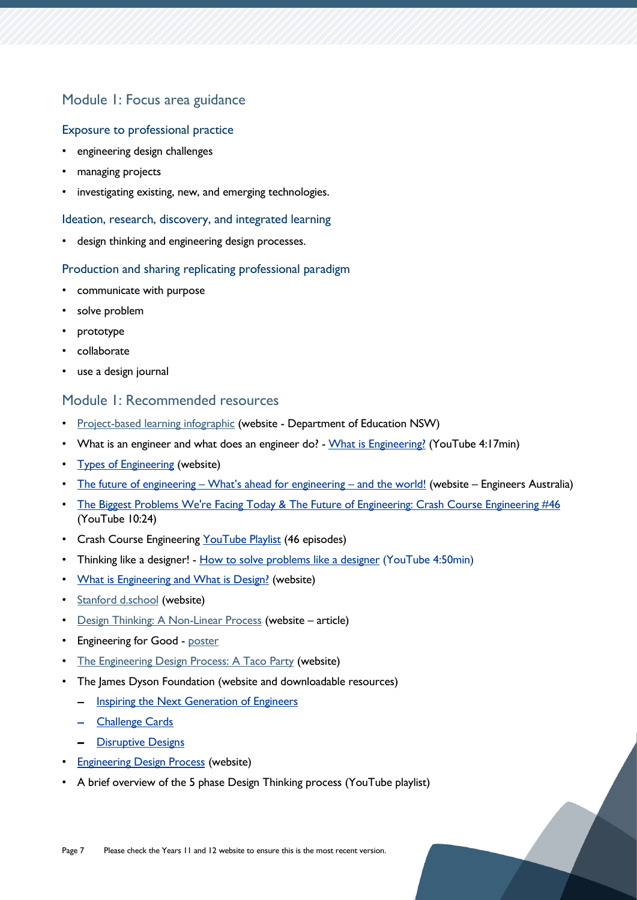### Module 1: Focus area guidance

#### Exposure to professional practice

- engineering design challenges
- managing projects
- investigating existing, new, and emerging technologies.

#### Ideation, research, discovery, and integrated learning

design thinking and engineering design processes.

#### Production and sharing replicating professional paradigm

- communicate with purpose
- solve problem
- prototype
- collaborate
- use a design journal

#### Module 1: Recommended resources

- [Project-based learning infographic](https://education.nsw.gov.au/content/dam/main-education/en/home/teaching-and-learning/school-learning-environments-and-change/future-focused-learning-and-teaching1/introducing-pbl-Infographic.2.jpg) (website Department of Education NSW)
- What is an engineer and what does an engineer do? [What is Engineering?](https://youtu.be/bipTWWHya8A) (YouTube 4:17min)
- [Types of Engineering](https://www.teachengineering.org/k12engineering/types-of-engineering) (website)
- The future of engineering [What's ahead for engineering –](https://www.engineersaustralia.org.au/For-Students-And-Educators/Engineering-Careers/Future-Of-Engineering) and the world! (website Engineers Australia)
- [The Biggest Problems We're Facing Today & The Future of Engineering: Crash Course Engineering #46](https://www.youtube.com/watch?v=Fzq_yuj-oZM) (YouTube 10:24)
- Crash Course Engineering [YouTube Playlist](https://www.youtube.com/playlist?list=PL8dPuuaLjXtO4A_tL6DLZRotxEb114cMR) (46 episodes)
- Thinking like a designer! [How to solve problems like a designer](https://youtu.be/wOrmr5kT-48) (YouTube 4:50min)
- [What is Engineering and What is Design?](https://www.teachengineering.org/lessons/view/umo_challenges_lesson01) (website)
- [Stanford d.school](https://dschool.stanford.edu/resources) (website)
- [Design Thinking: A Non-Linear Process](https://www.interaction-design.org/literature/article/5-stages-in-the-design-thinking-process) (website article)
- Engineering for Good [poster](https://static.pbslearningmedia.org/media/media_files/8b08eb24-72e1-4f7d-8845-3eacbc363052/b0a95283-03e7-4c5c-b177-2158717e5bcb.pdf)
- [The Engineering Design Process: A](https://youtu.be/MAhpfFt_mWM) Taco Party (website)
- The James Dyson Foundation (website and downloadable resources)
	- [Inspiring the Next Generation of Engineers](https://tasedu-my.sharepoint.com/personal/belinda_brannam_education_tas_gov_au/Documents/Curriculum%20Leader%20(Technologies)/Course%20Writing%20T1%202021/Engineering/Engineering%20Curriculum%20(jamesdysonfoundation.com))
	- [Challenge Cards](https://www.jamesdysonfoundation.com/resources/challenge-cards.html)
	- [Disruptive Designs](https://www.jamesdysonfoundation.com/resources/design-icons.html)
- **[Engineering Design Process](https://www.teachengineering.org/populartopics/designprocess) (website)**
- A brief overview of the 5 phase Design Thinking process (YouTube playlist)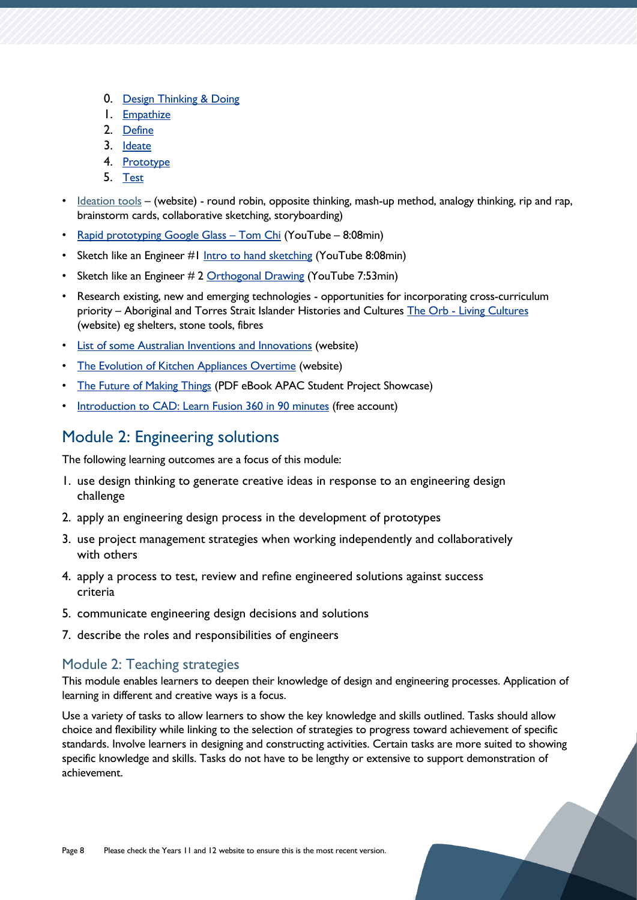- 0. [Design Thinking & Doing](https://youtu.be/bpVzgW8TUQ0)
- 1. [Empathize](https://youtu.be/q654-kmF3Pc)
- 2. [Define](https://youtu.be/TNAdanuvwtc)
- 3. [Ideate](https://youtu.be/zbLxs6te5to)
- 4. [Prototype](https://youtu.be/Q4MzT2MEDHA)
- 5. [Test](https://youtu.be/UVEQCNM6X-A)
- [Ideation](https://www.boardofinnovation.com/staff_picks/our-favorite-ideation-tools/) tools (website) round robin, opposite thinking, mash-up method, analogy thinking, rip and rap, brainstorm cards, collaborative sketching, storyboarding)
- [Rapid prototyping Google Glass](https://www.youtube.com/watch?v=d5_h1VuwD6g)  Tom Chi (YouTube 8:08min)
- Sketch like an Engineer #1 [Intro to hand sketching](https://youtu.be/ceK1tEGZals) (YouTube 8:08min)
- Sketch like an Engineer # 2 [Orthogonal Drawing](https://youtu.be/s4Jj_2R8NLw) (YouTube 7:53min)
- Research existing, new and emerging technologies opportunities for incorporating cross-curriculum priority - Aboriginal and Torres Strait Islander Histories and Cultures The Orb - [Living Cultures](https://www.theorb.tas.gov.au/living-cultures) (website) eg shelters, stone tools, fibres
- [List of some Australian Inventions and Innovations](https://www.tasstudent.com/2013/04/21/australianinventions/) (website)
- [The Evolution of Kitchen Appliances Overtime](https://interestingengineering.com/the-evolution-of-kitchen-appliances-over-time) (website)
- [The Future of Making Things](https://damassets.autodesk.net/content/dam/autodesk/www/industries/education/docs/eBook_APAC.pdf) (PDF eBook APAC Student Project Showcase)
- [Introduction to CAD: Learn Fusion 360 in 90 minutes](https://academy.autodesk.com/course/129267/introduction-cad-learn-fusion-360-90-minutes) (free account)

## <span id="page-7-0"></span>Module 2: Engineering solutions

The following learning outcomes are a focus of this module:

- 1. use design thinking to generate creative ideas in response to an engineering design challenge
- 2. apply an engineering design process in the development of prototypes
- 3. use project management strategies when working independently and collaboratively with others
- 4. apply a process to test, review and refine engineered solutions against success criteria
- 5. communicate engineering design decisions and solutions
- 7. describe the roles and responsibilities of engineers

#### Module 2: Teaching strategies

This module enables learners to deepen their knowledge of design and engineering processes. Application of learning in different and creative ways is a focus.

Use a variety of tasks to allow learners to show the key knowledge and skills outlined. Tasks should allow choice and flexibility while linking to the selection of strategies to progress toward achievement of specific standards. Involve learners in designing and constructing activities. Certain tasks are more suited to showing specific knowledge and skills. Tasks do not have to be lengthy or extensive to support demonstration of achievement.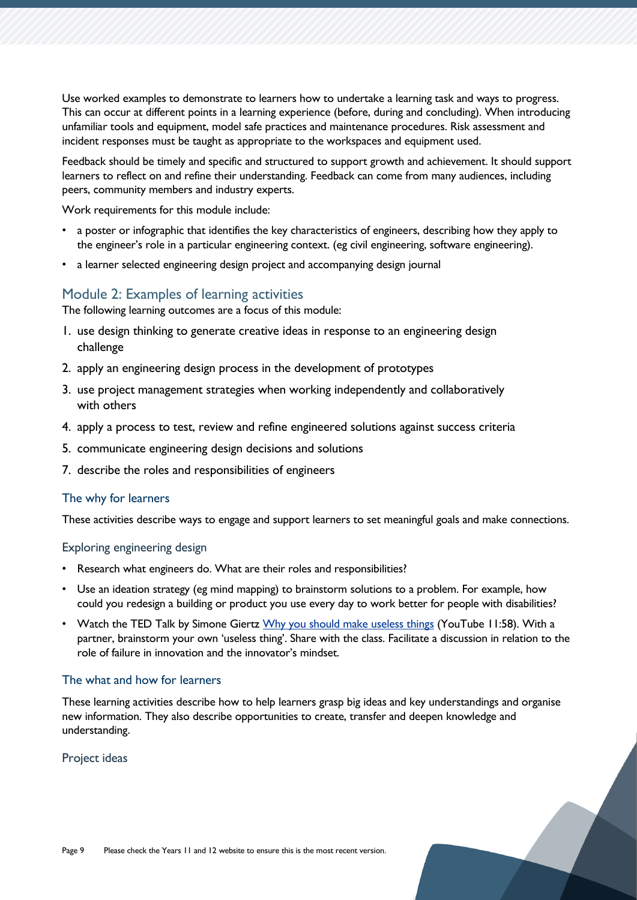Use worked examples to demonstrate to learners how to undertake a learning task and ways to progress. This can occur at different points in a learning experience (before, during and concluding). When introducing unfamiliar tools and equipment, model safe practices and maintenance procedures. Risk assessment and incident responses must be taught as appropriate to the workspaces and equipment used.

Feedback should be timely and specific and structured to support growth and achievement. It should support learners to reflect on and refine their understanding. Feedback can come from many audiences, including peers, community members and industry experts.

Work requirements for this module include:

- a poster or infographic that identifies the key characteristics of engineers, describing how they apply to the engineer's role in a particular engineering context. (eg civil engineering, software engineering).
- a learner selected engineering design project and accompanying design journal

#### Module 2: Examples of learning activities

The following learning outcomes are a focus of this module:

- 1. use design thinking to generate creative ideas in response to an engineering design challenge
- 2. apply an engineering design process in the development of prototypes
- 3. use project management strategies when working independently and collaboratively with others
- 4. apply a process to test, review and refine engineered solutions against success criteria
- 5. communicate engineering design decisions and solutions
- 7. describe the roles and responsibilities of engineers

#### The why for learners

These activities describe ways to engage and support learners to set meaningful goals and make connections.

#### Exploring engineering design

- Research what engineers do. What are their roles and responsibilities?
- Use an ideation strategy (eg mind mapping) to brainstorm solutions to a problem. For example, how could you redesign a building or product you use every day to work better for people with disabilities?
- Watch the TED Talk by Simone Giertz [Why you should make useless things](https://www.youtube.com/watch?v=c0bsKc4tiuY) (YouTube 11:58). With a partner, brainstorm your own 'useless thing'. Share with the class. Facilitate a discussion in relation to the role of failure in innovation and the innovator's mindset.

#### The what and how for learners

These learning activities describe how to help learners grasp big ideas and key understandings and organise new information. They also describe opportunities to create, transfer and deepen knowledge and understanding.

#### Project ideas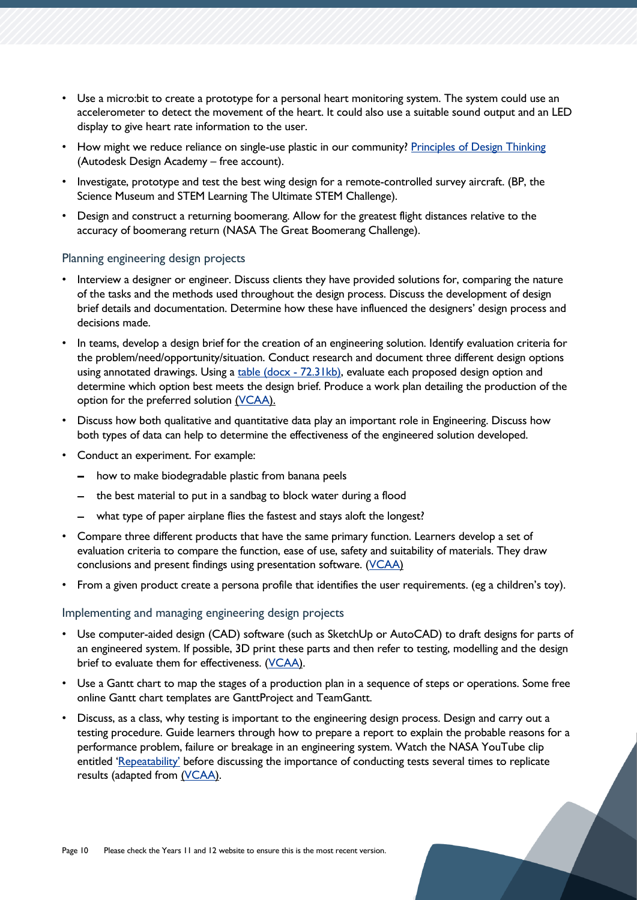- Use a micro:bit to create a prototype for a personal heart monitoring system. The system could use an accelerometer to detect the movement of the heart. It could also use a suitable sound output and an LED display to give heart rate information to the user.
- How might we reduce reliance on single-use plastic in our community? [Principles of Design Thinking](https://academy.autodesk.com/course/122979/principles-design-thinking) (Autodesk Design Academy – free account).
- Investigate, prototype and test the best wing design for a remote-controlled survey aircraft. (BP, the Science Museum and STEM Learning The Ultimate STEM Challenge).
- Design and construct a returning boomerang. Allow for the greatest flight distances relative to the accuracy of boomerang return (NASA The Great Boomerang Challenge).

#### Planning engineering design projects

- Interview a designer or engineer. Discuss clients they have provided solutions for, comparing the nature of the tasks and the methods used throughout the design process. Discuss the development of design brief details and documentation. Determine how these have influenced the designers' design process and decisions made.
- In teams, develop a design brief for the creation of an engineering solution. Identify evaluation criteria for the problem/need/opportunity/situation. Conduct research and document three different design options using annotated drawings. Using a [table \(docx -](https://www.vcaa.vic.edu.au/Documents/vce/adviceforteachers/systemseng/Designing%20a%20mechanical%20system.docx) 72.31kb), evaluate each proposed design option and determine which option best meets the design brief. Produce a work plan detailing the production of the option for the preferred solution [\(VCAA\)](https://www.vcaa.vic.edu.au/curriculum/vce/vce-study-designs/systemsengineering/advice-for-teachers/Pages/unit1-areastudy1.aspx).
- Discuss how both qualitative and quantitative data play an important role in Engineering. Discuss how both types of data can help to determine the effectiveness of the engineered solution developed.
- Conduct an experiment. For example:
	- how to make biodegradable plastic from banana peels
	- $-$  the best material to put in a sandbag to block water [during a flood](https://www.thoughtco.com/great-buildings-structures-4132948)
	- what type of paper airplane flies the fastest and stays aloft the longest?
- Compare three different products that have the same primary function. Learners develop a set of evaluation criteria to compare the function, ease of use, safety and suitability of materials. They draw conclusions and present findings using presentation software. [\(VCAA\)](https://www.vcaa.vic.edu.au/curriculum/vce/vce-study-designs/systemsengineering/advice-for-teachers/Pages/unit1-areastudy1.aspx)
- From a given product create a persona profile that identifies the user requirements. (eg a children's toy).

#### Implementing and managing engineering design projects

- Use computer-aided design (CAD) software (such as SketchUp or AutoCAD) to draft designs for parts of an engineered system. If possible, 3D print these parts and then refer to testing, modelling and the design brief to evaluate them for effectiveness. [\(VCAA\)](https://www.vcaa.vic.edu.au/curriculum/vce/vce-study-designs/systemsengineering/advice-for-teachers/Pages/unit1-areastudy1.aspx).
- Use a Gantt chart to map the stages of a production plan in a sequence of steps or operations. Some free online Gantt chart templates are GanttProject and TeamGantt.
- Discuss, as a class, why testing is important to the engineering design process. Design and carry out a testing procedure. Guide learners through how to prepare a report to explain the probable reasons for a performance problem, failure or breakage in an engineering system. Watch the NASA YouTube clip entitled ['Repeatability'](https://www.youtube.com/watch?v=-2Az1KDn-YM) before discussing the importance of conducting tests several times to replicate results (adapted from [\(VCAA\)](https://www.vcaa.vic.edu.au/curriculum/vce/vce-study-designs/systemsengineering/advice-for-teachers/Pages/unit1-areastudy1.aspx).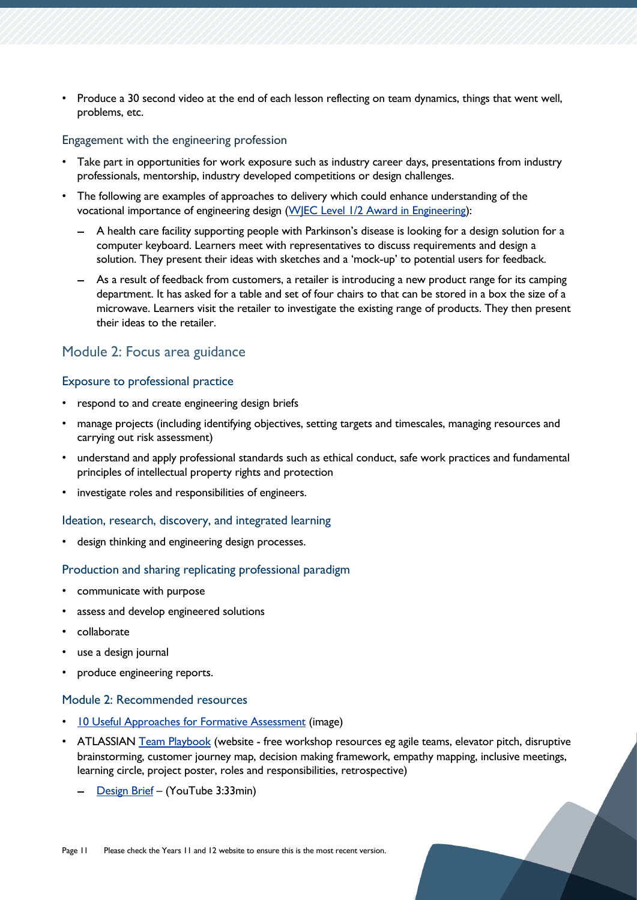• Produce a 30 second video at the end of each lesson reflecting on team dynamics, things that went well, problems, etc.

#### Engagement with the engineering profession

- Take part in opportunities for work exposure such as industry career days, presentations from industry professionals, mentorship, industry developed competitions or design challenges.
- The following are examples of approaches to delivery which could enhance understanding of the vocational importance of engineering design [\(WJEC Level 1/2 Award in Engineering\)](https://www.eduqas.co.uk/media/c52b0bg0/wjec-level-1-2-award-in-engineering-spec-from-2013-e-051218.pdf):
	- A health care facility supporting people with Parkinson's disease is looking for a design solution for a computer keyboard. Learners meet with representatives to discuss requirements and design a solution. They present their ideas with sketches and a 'mock-up' to potential users for feedback.
	- As a result of feedback from customers, a retailer is introducing a new product range for its camping department. It has asked for a table and set of four chairs to that can be stored in a box the size of a microwave. Learners visit the retailer to investigate the existing range of products. They then present their ideas to the retailer.

#### Module 2: Focus area guidance

#### Exposure to professional practice

- respond to and create engineering design briefs
- manage projects (including identifying objectives, setting targets and timescales, managing resources and carrying out risk assessment)
- understand and apply professional standards such as ethical conduct, safe work practices and fundamental principles of intellectual property rights and protection
- investigate roles and responsibilities of engineers.

#### Ideation, research, discovery, and integrated learning

• design thinking and engineering design processes.

#### Production and sharing replicating professional paradigm

- communicate with purpose
- assess and develop engineered solutions
- collaborate
- use a design journal
- produce engineering reports.

#### Module 2: Recommended resources

- [10 Useful Approaches for Formative Assessment](https://blog.futurefocusedlearning.net/hs-fs/hubfs/FFL-formative-assesment-infographic.jpg?width=2000&name=FFL-formative-assesment-infographic.jpg) (image)
- ATLASSIAN [Team Playbook](https://www.atlassian.com/team-playbook/plays) (website free workshop resources eg agile teams, elevator pitch, disruptive brainstorming, customer journey map, decision making framework, empathy mapping, inclusive meetings, learning circle, project poster, roles and responsibilities, retrospective)
	- [Design Brief](https://www.youtube.com/watch?v=xeCgn9nTsOI) (YouTube 3:33min)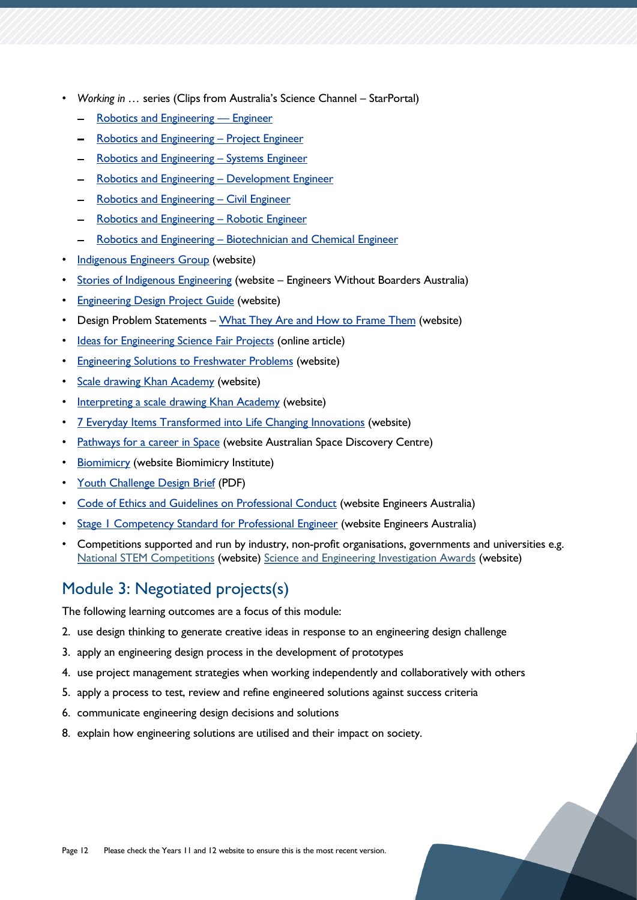- *Working in …* series (Clips from Australia's Science Channel StarPortal)
	- [Robotics and Engineering](https://education.australiascience.tv/working-in-robotics-and-engineering-engineer/)  Engineer
	- [Robotics and Engineering](https://education.australiascience.tv/working-in-robotics-engineering-project-engineer/)  Project Engineer
	- [Robotics and Engineering](https://education.australiascience.tv/working-in-robotics-engineering-systems-engineer/)  Systems Engineer
	- [Robotics and Engineering](https://education.australiascience.tv/working-in-robotics-engineering-development-engineer/)  Development Engineer
	- [Robotics and Engineering](https://education.australiascience.tv/working-in-robotics-engineering-civil-engineer/)  Civil Engineer
	- [Robotics and Engineering](https://education.australiascience.tv/working-in-robotics-engineering-robotic-engineer/)  Robotic Engineer
	- Robotics and Engineering [Biotechnician and Chemical Engineer](https://education.australiascience.tv/working-in-robotics-engineering-biotechnician-chemical-engineer/)
- **[Indigenous Engineers Group](https://www.engineersaustralia.org.au/Diversity-and-Inclusion/Indigenous-Engineers-Group) (website)**
- [Stories of Indigenous Engineering](https://ewb.org.au/stories-of-indigenous-engineering/) (website Engineers Without Boarders Australia)
- [Engineering Design Project Guide](https://www.sciencebuddies.org/science-fair-projects/engineering-design-process-guide) (website)
- Design Problem Statements [What They Are and How to Frame Them](https://www.toptal.com/designers/product-design/design-problem-statement) (website)
- [Ideas for Engineering Science Fair Projects](https://www.thoughtco.com/engineering-science-fair-project-ideas-609039) (online article)
- [Engineering Solutions to Freshwater Problems](https://www.nationalgeographic.org/activity/engineering-solutions-freshwater-problems/) (website)
- **[Scale drawing Khan Academy](https://www.khanacademy.org/math/cc-seventh-grade-math/cc-7th-geometry/cc-7th-scale-drawings/v/constructing-scale-drawings) (website)**
- [Interpreting a scale drawing Khan Academy](https://www.khanacademy.org/math/cc-seventh-grade-math/cc-7th-geometry/cc-7th-scale-drawings/v/scale-drawings-example) (website)
- [7 Everyday Items Transformed into Life Changing Innovations](https://www.goodnet.org/articles/7-examples-everyday-items-transformed-into-extraordinary-life-changing-innovations-list) (website)
- [Pathways for a career in Space](https://www.industry.gov.au/australian-space-discovery-centre/pathways-for-a-career-in-space) (website Australian Space Discovery Centre)
- [Biomimicry](https://youthchallenge.biomimicry.org/en/page/curriculum-page-en) (website Biomimicry Institute)
- [Youth Challenge Design Brief](https://s3.amazonaws.com/skipsolabs_biomimicry-students-competition/uploads/content/fc6284a38eae80b9ec7017a3164b86b04c629264.pdf) (PDF)
- [Code of Ethics and Guidelines on Professional Conduct](https://www.engineersaustralia.org.au/sites/default/files/resource-files/2020-02/828145%20Code%20of%20Ethics%202020%20D.pdf) (website Engineers Australia)
- **[Stage 1 Competency Standard for Professional Engineer](https://www.engineersaustralia.org.au/sites/default/files/2019-11/Stage1_Competency_Standards.pdf) (website Engineers Australia)**
- Competitions supported and run by industry, non-profit organisations, governments and universities e.g. [National STEM Competitions](https://www.dese.gov.au/australian-curriculum/national-stem-education-resources-toolkit/i-want-know-about-stem-education/different-kinds-stem-education-initiatives/competitions) (website) [Science and Engineering Investigation Awards](https://www.utas.edu.au/seia) (website)

## <span id="page-11-0"></span>Module 3: Negotiated projects(s)

The following learning outcomes are a focus of this module:

- 2. use design thinking to generate creative ideas in response to an engineering design challenge
- 3. apply an engineering design process in the development of prototypes
- 4. use project management strategies when working independently and collaboratively with others
- 5. apply a process to test, review and refine engineered solutions against success criteria
- 6. communicate engineering design decisions and solutions
- 8. explain how engineering solutions are utilised and their impact on society.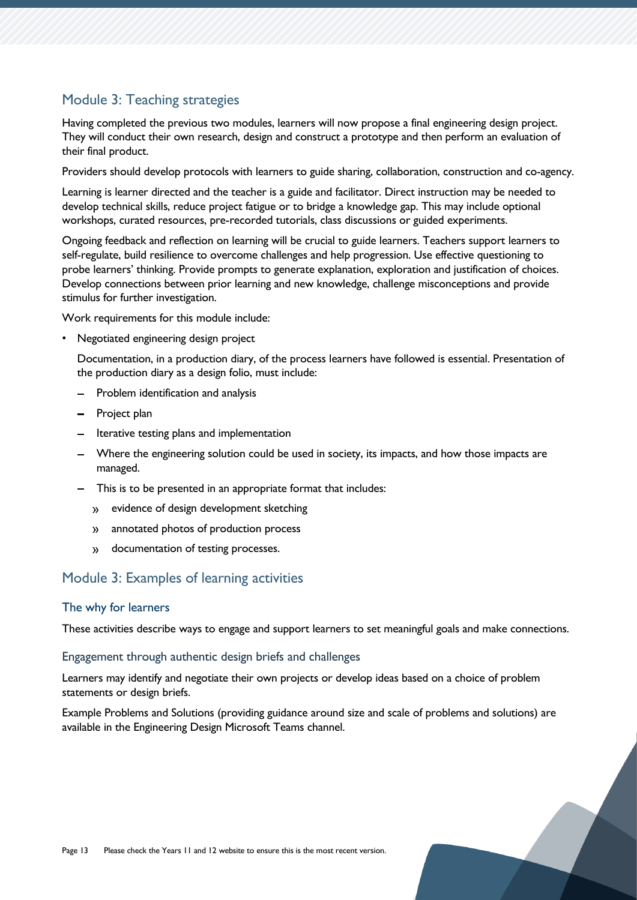### Module 3: Teaching strategies

Having completed the previous two modules, learners will now propose a final engineering design project. They will conduct their own research, design and construct a prototype and then perform an evaluation of their final product.

Providers should develop protocols with learners to guide sharing, collaboration, construction and co-agency.

Learning is learner directed and the teacher is a guide and facilitator. Direct instruction may be needed to develop technical skills, reduce project fatigue or to bridge a knowledge gap. This may include optional workshops, curated resources, pre-recorded tutorials, class discussions or guided experiments.

Ongoing feedback and reflection on learning will be crucial to guide learners. Teachers support learners to self-regulate, build resilience to overcome challenges and help progression. Use effective questioning to probe learners' thinking. Provide prompts to generate explanation, exploration and justification of choices. Develop connections between prior learning and new knowledge, challenge misconceptions and provide stimulus for further investigation.

Work requirements for this module include:

• Negotiated engineering design project

Documentation, in a production diary, of the process learners have followed is essential. Presentation of the production diary as a design folio, must include:

- Problem identification and analysis
- Project plan
- Iterative testing plans and implementation
- Where the engineering solution could be used in society, its impacts, and how those impacts are managed.
- This is to be presented in an appropriate format that includes:
	- evidence of design development sketching
	- annotated photos of production process
	- documentation of testing processes.  $\mathbf{y}$

#### Module 3: Examples of learning activities

#### The why for learners

These activities describe ways to engage and support learners to set meaningful goals and make connections.

#### Engagement through authentic design briefs and challenges

Learners may identify and negotiate their own projects or develop ideas based on a choice of problem statements or design briefs.

Example Problems and Solutions (providing guidance around size and scale of problems and solutions) are available in the Engineering Design Microsoft Teams channel.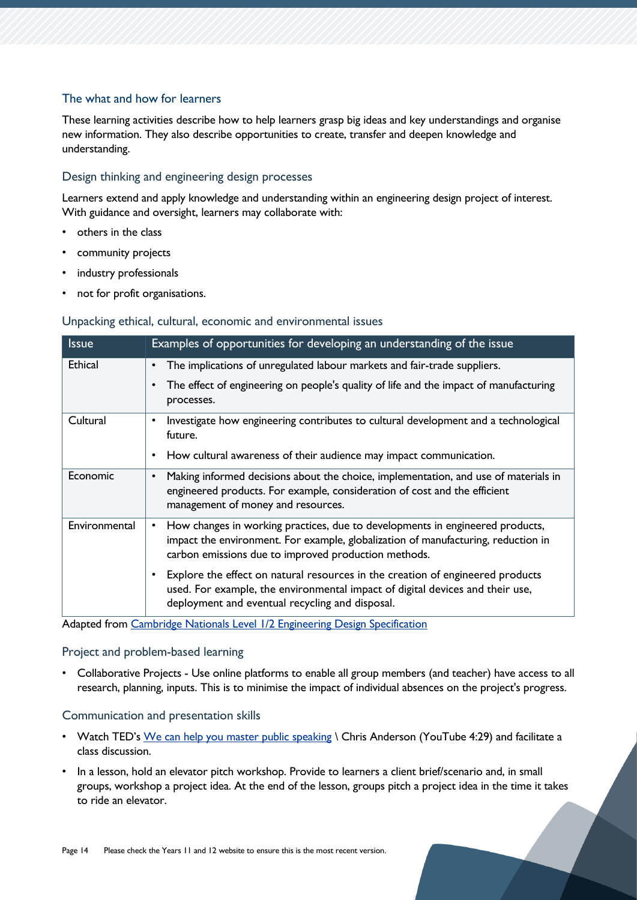#### The what and how for learners

These learning activities describe how to help learners grasp big ideas and key understandings and organise new information. They also describe opportunities to create, transfer and deepen knowledge and understanding.

#### Design thinking and engineering design processes

Learners extend and apply knowledge and understanding within an engineering design project of interest. With guidance and oversight, learners may collaborate with:

- others in the class
- community projects
- industry professionals
- not for profit organisations.

#### Unpacking ethical, cultural, economic and environmental issues

| <b>Issue</b>   | Examples of opportunities for developing an understanding of the issue                                                                                                                                                                  |
|----------------|-----------------------------------------------------------------------------------------------------------------------------------------------------------------------------------------------------------------------------------------|
| <b>Ethical</b> | The implications of unregulated labour markets and fair-trade suppliers.<br>٠                                                                                                                                                           |
|                | The effect of engineering on people's quality of life and the impact of manufacturing<br>$\bullet$<br>processes.                                                                                                                        |
| Cultural       | Investigate how engineering contributes to cultural development and a technological<br>$\bullet$<br>future.                                                                                                                             |
|                | How cultural awareness of their audience may impact communication.<br>$\bullet$                                                                                                                                                         |
| Economic       | Making informed decisions about the choice, implementation, and use of materials in<br>$\bullet$<br>engineered products. For example, consideration of cost and the efficient<br>management of money and resources.                     |
| Environmental  | How changes in working practices, due to developments in engineered products,<br>$\bullet$<br>impact the environment. For example, globalization of manufacturing, reduction in<br>carbon emissions due to improved production methods. |
|                | Explore the effect on natural resources in the creation of engineered products<br>$\bullet$<br>used. For example, the environmental impact of digital devices and their use,<br>deployment and eventual recycling and disposal.         |

Adapted from [Cambridge Nationals Level 1/2 Engineering Design Specification](https://www.ocr.org.uk/Images/150704-specification.pdf)

#### Project and problem-based learning

• Collaborative Projects - Use online platforms to enable all group members (and teacher) have access to all research, planning, inputs. This is to minimise the impact of individual absences on the project's progress.

#### Communication and presentation skills

- Watch TED's [We can help you master public speaking](https://www.bing.com/videos/search?view=detail&mid=D7D97C5D63996EA829BED7D97C5D63996EA829BE&q=ted%20ed%20public%20speaking&shtp=GetUrl&shid=9a544219-0394-41d0-9790-9d4147661e53&shtk=V2UgY2FuIGhlbHAgeW91IG1hc3RlciBwdWJsaWMgc3BlYWtpbmcgLSBDaHJpcyBBbmRlcnNvbg%3D%3D&shdk=SG93IGNhbiB5b3UgbWFrZSB5b3VyIHZvaWNlIGhlYXJkIGluIGEgbm9pc3kgd29ybGQ%2FIFRoZSBrZXkgaXMgcHVibGljIHNwZWFraW5nIGFuZCBwcmVzZW50YXRpb24gbGl0ZXJhY3ksIGFuZCB3ZSBjYW4gaGVscDogaHR0cDovL2JpdC5seS9UTUNQU0FwcCAtLSBTdG9yeXRlbGxpbmcgaXMgYW4gYW5jaWVudCBhcnQ7IGFzIGh1bWFucyBkZXZlbG9wZWQgbGFuZ3VhZ2UgYW5kIGN1bHR1cmUsIHdlIGxlYXJuZWQgdG8gc2hhcmUgb3VyIHN0b3JpZXMsIHRob3VnaHRzLCBhbmQgZHJlYW1zLiBBbmQgdGhhdCBzdG9yeXRlbGxpbmcgZXZvbHZlZCBpbnRvIHB1YmxpYyBzcGVha2luZywgYW5kIG91ciBhdWRpZW5jZSAuLi4%3D&shhk=Q7O8C6DEc29mC61RPoocT5zY5aj%2BErSf4fgH9xwuLkU%3D&form=VDSHOT&shth=OVP.kl0VDZ3b-NE1lhE_47TOywHgFo) \ Chris Anderson (YouTube 4:29) and facilitate a class discussion.
- In a lesson, hold an elevator pitch workshop. Provide to learners a client brief/scenario and, in small groups, workshop a project idea. At the end of the lesson, groups pitch a project idea in the time it takes to ride an elevator.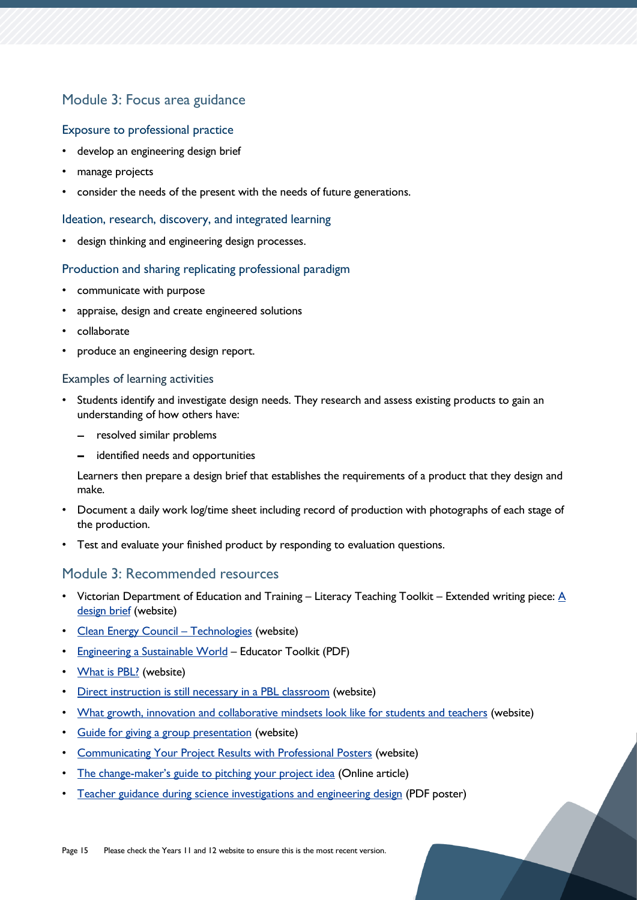### Module 3: Focus area guidance

#### Exposure to professional practice

- develop an engineering design brief
- manage projects
- consider the needs of the present with the needs of future generations.

#### Ideation, research, discovery, and integrated learning

• design thinking and engineering design processes.

#### Production and sharing replicating professional paradigm

- communicate with purpose
- appraise, design and create engineered solutions
- collaborate
- produce an engineering design report.

#### Examples of learning activities

- Students identify and investigate design needs. They research and assess existing products to gain an understanding of how others have:
	- resolved similar problems
	- identified needs and opportunities

Learners then prepare a design brief that establishes the requirements of a product that they design and make.

- Document a daily work log/time sheet including record of production with photographs of each stage of the production.
- Test and evaluate your finished product by responding to evaluation questions.

#### Module 3: Recommended resources

- Victorian Department of Education and Training Literacy Teaching Toolkit Extended writing piece:  $\underline{A}$ [design brief](https://www.education.vic.gov.au/school/teachers/teachingresources/discipline/english/literacy/Pages/design-and-technologiproblem%20statement%20vses-putting-it-together.aspx) (website)
- [Clean Energy Council](https://www.cleanenergycouncil.org.au/resources/technologies)  Technologies (website)
- [Engineering a Sustainable World](file:///C:/Users/belinda.brannam/Downloads/EngineeringToolkit.pdf) Educator Toolkit (PDF)
- [What is PBL?](https://www.pblworks.org/what-is-pbl) (website)
- [Direct instruction is still necessary in a PBL classroom](https://spencerauthor.com/direct-instruction-pbl/) (website)
- [What growth, innovation and collaborative mindsets look like for students and teachers](https://www.gettingsmart.com/2015/09/17/what-growth-innovation-and-collaborative-mindsets-look-like-for-students-and-teachers/) (website)
- [Guide for giving a group presentation](https://virtualspeech.com/blog/guide-for-giving-group-presentation) (website)
- [Communicating Your Project Results with Professional Posters](https://www.teachengineering.org/activities/view/cub_airquality_lesson01_activity5) (website)
- The change-[maker's guide to pitching](https://www.atlassian.com/blog/productivity/how-to-pitch-project-ideas-at-work) your project idea (Online article)
- [Teacher guidance during science investigations and engineering design](https://www.nap.edu/resource/25216/interactive/assets/teacherguidance-print.pdf) (PDF poster)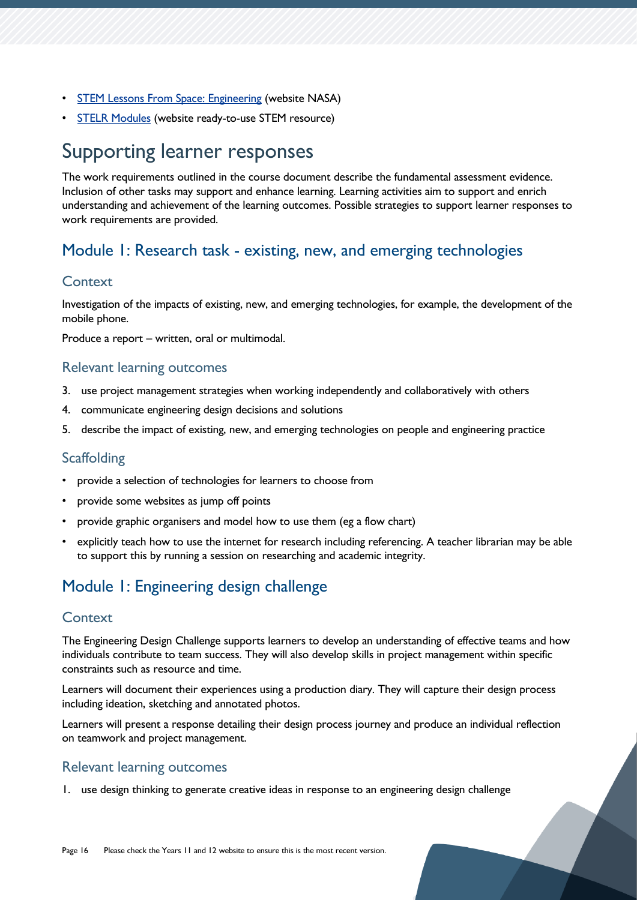- [STEM Lessons From Space: Engineering](https://www.nasa.gov/audience/foreducators/stem-on-station/engineering.html) (website NASA)
- [STELR Modules](https://stelr.org.au/stelr-modules/) (website ready-to-use STEM resource)

## <span id="page-15-0"></span>Supporting learner responses

The work requirements outlined in the course document describe the fundamental assessment evidence. Inclusion of other tasks may support and enhance learning. Learning activities aim to support and enrich understanding and achievement of the learning outcomes. Possible strategies to support learner responses to work requirements are provided.

### <span id="page-15-1"></span>Module 1: Research task - existing, new, and emerging technologies

#### **Context**

Investigation of the impacts of existing, new, and emerging technologies, for example, the development of the mobile phone.

Produce a report – written, oral or multimodal.

#### Relevant learning outcomes

- 3. use project management strategies when working independently and collaboratively with others
- 4. communicate engineering design decisions and solutions
- 5. describe the impact of existing, new, and emerging technologies on people and engineering practice

#### **Scaffolding**

- provide a selection of technologies for learners to choose from
- provide some websites as jump off points
- provide graphic organisers and model how to use them (eg a flow chart)
- explicitly teach how to use the internet for research including referencing. A teacher librarian may be able to support this by running a session on researching and academic integrity.

## <span id="page-15-2"></span>Module 1: Engineering design challenge

#### **Context**

The Engineering Design Challenge supports learners to develop an understanding of effective teams and how individuals contribute to team success. They will also develop skills in project management within specific constraints such as resource and time.

Learners will document their experiences using a production diary. They will capture their design process including ideation, sketching and annotated photos.

Learners will present a response detailing their design process journey and produce an individual reflection on teamwork and project management.

#### Relevant learning outcomes

1. use design thinking to generate creative ideas in response to an engineering design challenge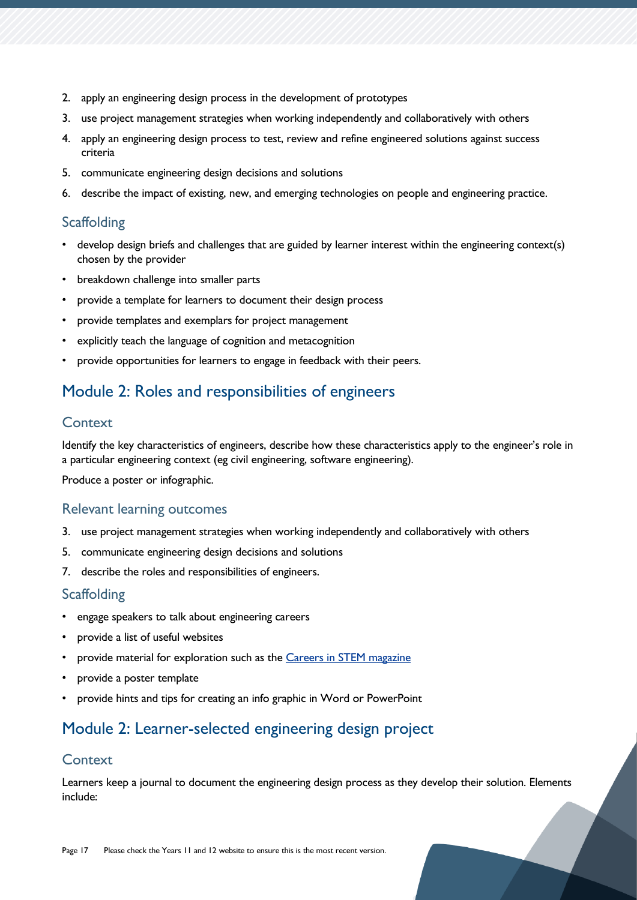- 2. apply an engineering design process in the development of prototypes
- 3. use project management strategies when working independently and collaboratively with others
- 4. apply an engineering design process to test, review and refine engineered solutions against success criteria
- 5. communicate engineering design decisions and solutions
- 6. describe the impact of existing, new, and emerging technologies on people and engineering practice.

#### **Scaffolding**

- develop design briefs and challenges that are guided by learner interest within the engineering context(s) chosen by the provider
- breakdown challenge into smaller parts
- provide a template for learners to document their design process
- provide templates and exemplars for project management
- explicitly teach the language of cognition and metacognition
- provide opportunities for learners to engage in feedback with their peers.

## <span id="page-16-0"></span>Module 2: Roles and responsibilities of engineers

#### **Context**

Identify the key characteristics of engineers, describe how these characteristics apply to the engineer's role in a particular engineering context (eg civil engineering, software engineering).

Produce a poster or infographic.

#### Relevant learning outcomes

- 3. use project management strategies when working independently and collaboratively with others
- 5. communicate engineering design decisions and solutions
- 7. describe the roles and responsibilities of engineers.

#### **Scaffolding**

- engage speakers to talk about engineering careers
- provide a list of useful websites
- provide material for exploration such as the [Careers in STEM magazine](https://careerswithstem.com.au/read-it-here/#gsc.tab=0)
- provide a poster template
- provide hints and tips for creating an info graphic in Word or PowerPoint

## <span id="page-16-1"></span>Module 2: Learner-selected engineering design project

#### **Context**

Learners keep a journal to document the engineering design process as they develop their solution. Elements include: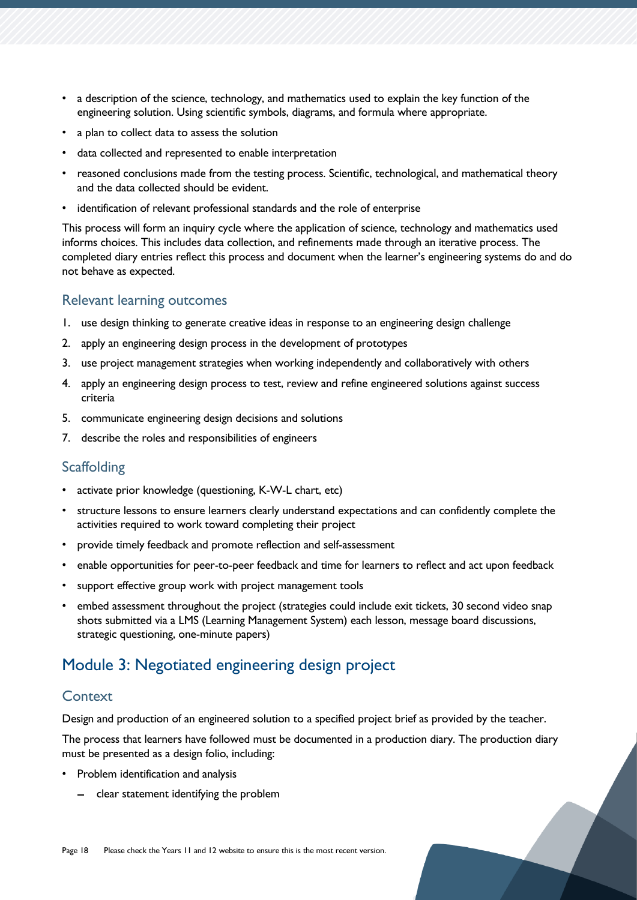- a description of the science, technology, and mathematics used to explain the key function of the engineering solution. Using scientific symbols, diagrams, and formula where appropriate.
- a plan to collect data to assess the solution
- data collected and represented to enable interpretation
- reasoned conclusions made from the testing process. Scientific, technological, and mathematical theory and the data collected should be evident.
- identification of relevant professional standards and the role of enterprise

This process will form an inquiry cycle where the application of science, technology and mathematics used informs choices. This includes data collection, and refinements made through an iterative process. The completed diary entries reflect this process and document when the learner's engineering systems do and do not behave as expected.

#### Relevant learning outcomes

- 1. use design thinking to generate creative ideas in response to an engineering design challenge
- 2. apply an engineering design process in the development of prototypes
- 3. use project management strategies when working independently and collaboratively with others
- 4. apply an engineering design process to test, review and refine engineered solutions against success criteria
- 5. communicate engineering design decisions and solutions
- 7. describe the roles and responsibilities of engineers

#### **Scaffolding**

- activate prior knowledge (questioning, K-W-L chart, etc)
- structure lessons to ensure learners clearly understand expectations and can confidently complete the activities required to work toward completing their project
- provide timely feedback and promote reflection and self-assessment
- enable opportunities for peer-to-peer feedback and time for learners to reflect and act upon feedback
- support effective group work with project management tools
- embed assessment throughout the project (strategies could include exit tickets, 30 second video snap shots submitted via a LMS (Learning Management System) each lesson, message board discussions, strategic questioning, one-minute papers)

## <span id="page-17-0"></span>Module 3: Negotiated engineering design project

#### **Context**

Design and production of an engineered solution to a specified project brief as provided by the teacher.

The process that learners have followed must be documented in a production diary. The production diary must be presented as a design folio, including:

- Problem identification and analysis
	- $-$  clear statement identifying the problem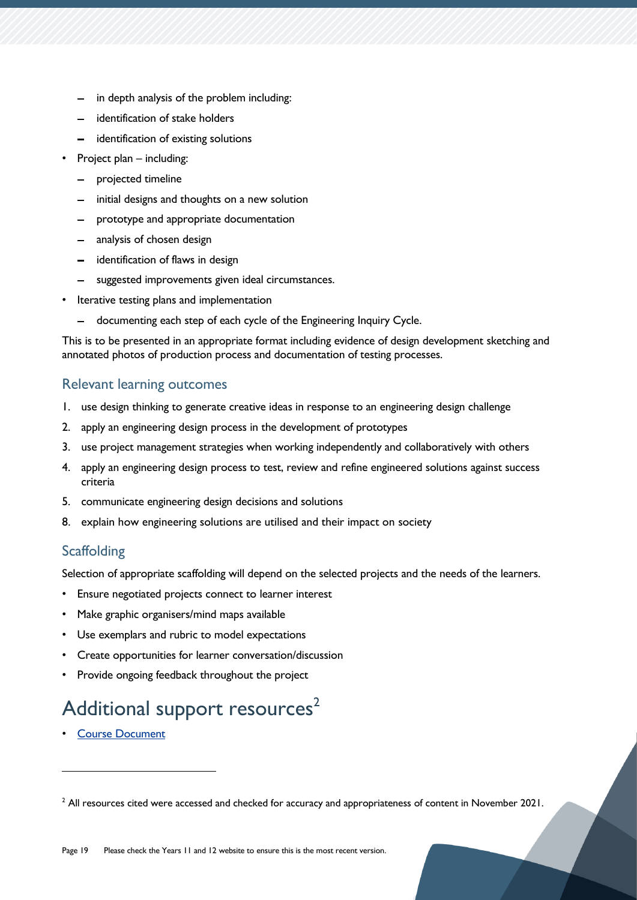- in depth analysis of the problem including:
- identification of stake holders
- identification of existing solutions
- Project plan including:
	- projected timeline
	- initial designs and thoughts on a new solution
	- prototype and appropriate documentation
	- analysis of chosen design
	- identification of flaws in design
	- suggested improvements given ideal circumstances.
- Iterative testing plans and implementation
	- $\overline{\phantom{0}}$ documenting each step of each cycle of the Engineering Inquiry Cycle.

This is to be presented in an appropriate format including evidence of design development sketching and annotated photos of production process and documentation of testing processes.

#### Relevant learning outcomes

- 1. use design thinking to generate creative ideas in response to an engineering design challenge
- 2. apply an engineering design process in the development of prototypes
- 3. use project management strategies when working independently and collaboratively with others
- 4. apply an engineering design process to test, review and refine engineered solutions against success criteria
- 5. communicate engineering design decisions and solutions
- 8. explain how engineering solutions are utilised and their impact on society

### **Scaffolding**

Selection of appropriate scaffolding will depend on the selected projects and the needs of the learners.

- Ensure negotiated projects connect to learner interest
- Make graphic organisers/mind maps available
- Use exemplars and rubric to model expectations
- Create opportunities for learner conversation/discussion
- Provide ongoing feedback throughout the project

## <span id="page-18-0"></span>Additional support resources<sup>2</sup>

**[Course Document](https://www.tasc.tas.gov.au/students/courses/technologies/edn215122/)** 

<sup>&</sup>lt;sup>2</sup> All resources cited were accessed and checked for accuracy and appropriateness of content in November 2021.